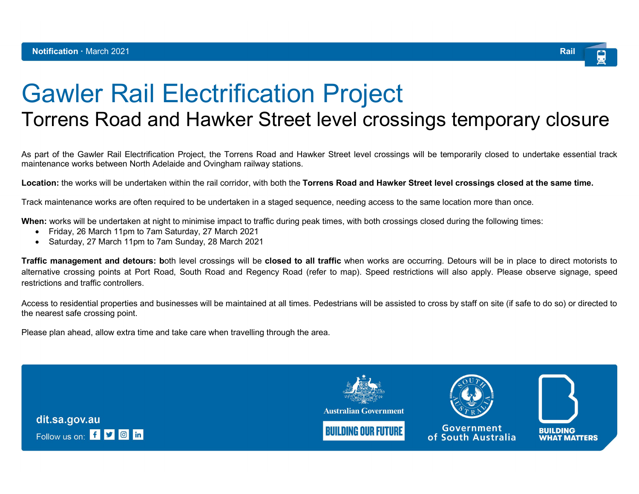

## Gawler Rail Electrification Project

## Torrens Road and Hawker Street level crossings temporary closure

As part of the Gawler Rail Electrification Project, the Torrens Road and Hawker Street level crossings will be temporarily closed to undertake essential track maintenance works between North Adelaide and Ovingham railway stations.

Location: the works will be undertaken within the rail corridor, with both the Torrens Road and Hawker Street level crossings closed at the same time.

Track maintenance works are often required to be undertaken in a staged sequence, needing access to the same location more than once.

When: works will be undertaken at night to minimise impact to traffic during peak times, with both crossings closed during the following times:

- Friday, 26 March 11pm to 7am Saturday, 27 March 2021
- Saturday, 27 March 11pm to 7am Sunday, 28 March 2021

Traffic management and detours: both level crossings will be closed to all traffic when works are occurring. Detours will be in place to direct motorists to alternative crossing points at Port Road, South Road and Regency Road (refer to map). Speed restrictions will also apply. Please observe signage, speed restrictions and traffic controllers.

Access to residential properties and businesses will be maintained at all times. Pedestrians will be assisted to cross by staff on site (if safe to do so) or directed to the nearest safe crossing point.

Please plan ahead, allow extra time and take care when travelling through the area.